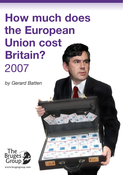# **How much does the European Union cost Britain?**  2007

1

*by Gerard Batten*

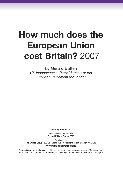## **How much does the European Union cost Britain?** 2007

by Gerard Batten *UK Independence Party Member of the European Parliament for London*

© The Bruges Group 2007

First Edition: August 2006 Second Edition: August 2007

Published by The Bruges Group, 232 Linen Hall, 162-168 Regent Street, London W1B 5TB **www.brugesgroup.com**

Bruges Group publications are not intended to represent a corporate view of European and international developments. Contributions are chosen on the basis of their intellectual rigour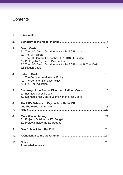### **Contents**

| 1.  |                                                                                                                                                                                                                                                               |
|-----|---------------------------------------------------------------------------------------------------------------------------------------------------------------------------------------------------------------------------------------------------------------|
| 2.  |                                                                                                                                                                                                                                                               |
| 3.  | 3.1 The UK's Direct Contributions to the EC Budget<br>3.2 The UK Rebate<br>3.3 The UK Contribution to the 2007-2013 EC Budget<br>3.4 Putting the Figures in Perspective<br>3.5 The UK's Direct Contributions to the EC Budget 1973 - 2007<br>3.6 Hidden Costs |
| 4.  | 4.1 The Common Agricultural Policy<br>4.2 The Common Fisheries Policy<br>4.3 EU Over-regulation                                                                                                                                                               |
| 5.  | Summary of the Annual Direct and Indirect Costs 16<br>5.1 Estimated Gross Costs<br>5.2 Estimated Net Contributions with Indirect Costs                                                                                                                        |
| 6.  | The UK's Balance of Payments with the EU                                                                                                                                                                                                                      |
| 7.  |                                                                                                                                                                                                                                                               |
| 8.  | 8.1 Projects Outside the EC Budget<br>8.2 Projects Inside the EC budget                                                                                                                                                                                       |
| 9.  |                                                                                                                                                                                                                                                               |
| 10. |                                                                                                                                                                                                                                                               |
| 11. | Acknowledgements                                                                                                                                                                                                                                              |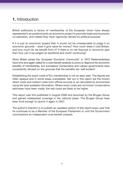### **1.** Introduction

British politicians in favour of membership of the European Union have always represented it as predominantly an economic project to promote trade and economic co-operation, and indeed they have vigorously denied its political purpose.

If it is just an economic project then it would not be unreasonable to judge it on economic grounds – does it give value for money? How much does it cost Britain, and how much do we benefit from it? If there is no net financial or economic gain then how can it be judged as beneficial and worth continuing?

Since Britain joined the 'European Economic Community' in 1973 Parliamentarians have time and again called for a cost-benefit analysis to prove or disprove the economic benefits of membership, but successive Conservative and Labour governments have consistently refused on the grounds that the benefits are 'self-evident'.

Establishing the exact costs of EU membership is not an easy task. The figures are often opaque and in some areas unavailable. Set out in this report are the known direct costs and indirect costs from official sources or as calculated by economists using the best available information. Where exact costs are not known conservative estimates have been made; the real costs are likely to be higher.

This report was first published in August 2006 and launched by the Bruges Group and gained widespread coverage in the national press. The Bruges Group have been kind enough to launch it again in 2007.

The author's intention is to publish an updated version of this report every year that he continues to be a Member of the European Parliament or until the Government commissions an independent cost-benefit analysis.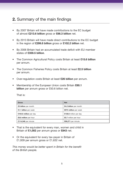### **2.** Summary of the main findings

- By 2007 Britain will have made contributions to the EC budget of almost **£213.6 billion** gross or **£66.3 billion** net.
- By 2013 Britain will have made direct contributions to the EC budget in the region of **£299.8 billion** gross or **£102.2 billion** net.
- By 2006 Britain had an accumulated trade deficit with EU member states of **£359.5 billion**.
- The Common Agricultural Policy costs Britain at least **£15.6 billion** per annum.
- The Common Fisheries Policy costs Britain at least **£2.5 billion** per annum.
- Over-regulation costs Britain at least **£26 billion** per annum.
- Membership of the European Union costs Britain **£60.1 billion** per annum gross or £50.6 billion net.

That is:

| Gross                  | <b>Net</b>             |
|------------------------|------------------------|
| £5 billion per month   | £4.2 billion per month |
| £1.1 billion per week  | £973 million per week  |
| £164.6 million per day | £138.6 million per day |
| £6.8 million per hour  | £5.7 million per hour  |
| £114,346 per minute    | £96,271 per minute     |

- That is the equivalent for every man, women and child in Britain of **£1,002** per annum gross or **£843** net.
- Or the equivalent for every tax-payer in Britain of £1,939 per annum gross or £1,632 net.

*This money would be better spent in Britain for the benefit of the British people.*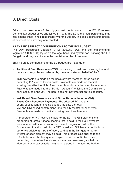### **3.** Direct Costs

Britain has been one of the biggest net contributors to the EC (European Community) budget since she joined in 1973. The EC is the legal personality that has, among other things, responsibility for the Budget. The calculations of methods of payment are extremely complicated.

### **3.1 THE UK'S DIRECT CONTRIBUTIONS TO THE EC**<sup>1</sup>  **BUDGET**

The Own Resources Decision (ORD) (2000/597/EC), and the implementing regulation (2028/2004) lay down the legal basis and system for financing the EC Budget<sup>2</sup> (and they also include the provision for the UK rebate).

Britain's gross contributions to the EC budget are made up of:

• **Traditional Own Resources (TOR)**, consisting of customs duties, agricultural duties and sugar levies collected by member states on behalf of the EU.

 TOR payments are made on the basis of what Member States collect, deducting 25% for collection costs. Payments are made on the first working day after the 19th of each month, and occur two months in arrears. Payments are made into the 'EC No 1 Account' which is the Commission's bank account in the UK. The bank does not pay interest on this account.

• **VAT Based Own Resources, and Gross National Income (GNI) Based Own Resource Payments.** The adopted EC budgets, or any subsequent amending budget, indicate the total VAT and GNI based contributions (and the UK rebate) for each year. Payments are made on the first working day of each month.

 A proportion of VAT revenue is paid to the EC. The GNI payment is a proportion of Gross National Income that is paid to the EC. Payments are made in 12/ths, or a proportion thereof. Regulations allow the Commission to call up additional VAT based and GNI based contributions, up to two additional 12/ths of each, so that in the first quarter up to 5/12ths of each element may be paid. This process also applies to the UK rebate. After the first quarter, payments will be in 12/ths, or less, depending on whether the above process has been used, so that the Member States pay exactly the amount agreed in the adopted budget.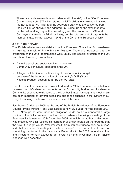These payments are made in accordance with the s2(3) of the ECA (European Communities Act) 1972 which states the UK's obligations towards financing the EU budget. VAT, GNI, and the UK rebate payments are converted from the euro figures shown in the adopted EC Budget using the exchange rate on the last working day of the preceding year. The proportion of VAT and GNI payments made by Britain will vary, but the total amount of payments by member states cannot exceed 1.24% of the GNI of the European Union.<sup>3</sup>

### **3.2 THE UK REBATE**

The British rebate was established by the European Council at Fontainebleau in 1984 as a result of Prime Minister Margaret Thatcher's insistence that the proportion of the UK's contributions were unfair. The special situation of the UK was characterised by two factors:

- A small agricultural sector resulting in very low Community agricultural spending in the UK
- A large contribution to the financing of the Community budget because of the large proportion of the country's GNP (Gross National Product) accounted for by the VAT base.

The UK correction mechanism was introduced in 1985 to correct the imbalance between the UK's share in payments to the Community budget and its share in Community expenditure allocated to the Member States. Although this mechanism has been modified on several occasions due to the changes in the system of EC budget financing, the basic principles remained the same.

Just before Christmas 2005, at the end of the British Presidency of the European Council, Prime Minister Tony Blair agreed a new EC budget for the period 2007- 2013. Although he was under no obligation to do so he surrendered a large portion of the British rebate over that period. When addressing a meeting of the European Parliament on 20th December 2005, at which the author of this report was present, Mr Blair justified his surrender of British rebate on the grounds that the new EC budget would, "transfer wealth from rich countries to poor countries", and that we were "investing in Eastern Europe". This commitment was not something mentioned in the Labour manifesto prior to the 2005 general election; and investors normally expect to get a return on their investment, so Mr Blair's language was deceptive.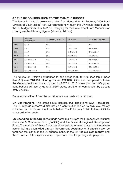### **3.3 THE UK CONTRIBUTION TO THE 2007-2013 BUDGET**

The figures in the table below were taken from Hansard for 8th February 2006. Lord Lawson of Blaby asked H.M. Government how much the UK would contribute to the EU budget from 2007 to 2013. Replying for the Government Lord McKenzie of Luton gave the following figures (shown in billions).

|               | <b>UK Gross</b><br>EU Spending in the UK<br><b>UK Rebate</b><br>Contributions |       |                | UK Net Contribution |
|---------------|-------------------------------------------------------------------------------|-------|----------------|---------------------|
| 2007          | £14.2                                                                         | £5.6  | £3.9           | £4.7                |
| 2008          | £14.6                                                                         | £5.2  | £4.6 to £4.7   | £4.6 to £4.7        |
| 2009          | £13.7                                                                         | £4.2  | £4.8 to £4.9   | £4.6 to £4.7        |
| 2010          | £14.4                                                                         | \$4.6 | £3.8 to £3.9   | £6.0 to £6.1        |
| 2011          | £14.1 to £14.5                                                                | £4.2  | £3.5 to £4.1   | £6.0 to £6.8        |
| 2012          | £14.1 to £14.5                                                                | £4.2  | £3.5 to £4.1   | £6.0 to £6.8        |
| 2013          | £14.1 to £14.5                                                                | £4.2  | £3.5 to £4.1   | £6.0 to £6.8        |
| <b>Totals</b> | £98.8 to £100.4                                                               | £32.2 | £27.6 to £29.7 | £37.9 to £40.6      |

The figures for Britain's contribution for the period 2000 to 2006 (see table under item 3.5) were **£76.105 billion** gross and **£22.896 billion** net. Compared to these the Government's estimated figures for 2007 to 2013 show that the UK's gross contributions will rise by up to 31.92% gross, and the net contribution by up to a hefty 77.32%.

Some explanation of how the contributions are made up is required:

**UK Contributions:** This gross figure includes TOR (Traditional Own Resources). The EU regards customs duties not as a contribution but as its own levy, merely collected by H.M Government on its behalf. The EU allows Britain to keep 25% to cover collection costs.

**EU Spending in the UK:** These funds come mainly from the European Agricultural Guidance & Guarantee Fund (EAGGF) and the Social & Regional Development Fund. The majority of these funds are either paid to or used to support the private sector, but are channelled through Government departments. It should never be forgotten that although the EU spends money in the UK **it is our own money**, and the EU uses UK taxpayers' money to promote itself for propaganda purposes.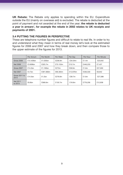**UK Rebate:** The Rebate only applies to spending within the EU. Expenditure outside the EU (mainly on overseas aid) is excluded. The rebate is deducted at the point of payment and not awarded at the end of the year; **the rebate is deducted a year in arrears**<sup>4</sup> **, for example the rebate in 2002 relates to UK receipts and payments of 2001.**

### **3.4 PUTTING THE FIGURES IN PERSPECTIVE**

These are telephone number figures and difficult to relate to real life. In order to try and understand what they mean in terms of real money let's look at the estimated figures for 2006 and 2007 and how they break down, and then compare those to the upper estimate of the figures for 2013.

|                       | Per Annum | Per Month | Per Week | Per Dav  | Per Hour | Per Minute |
|-----------------------|-----------|-----------|----------|----------|----------|------------|
| Gross 2006            | £12.426bn | £1.035bn  | £238.9m  | £34.04m  | £1.4m    | £23.642    |
| Net 2006              | £3.909bn  | £325.7m   | £75.153m | £10.7m   | £446.233 | £7.437     |
| <b>Gross 2007</b>     | £14.2bn   | £1.183bn  | £273m    | £38.9m   | £1.6m    | £27,000    |
| Net 2007              | £4.7bn    | £391.666m | £90.384m | £12,876m | £536.530 | £8,942     |
| Gross 2011 to<br>2013 | £14.5bn   | £1.2bn    | £278.8m  | £39.7m   | £1.6m    | £27.588    |
| Net 2011<br>to 2013   | £6.8bn    | £566.6m   | £130.7m  | £18.6m   | £776.256 | £12.938    |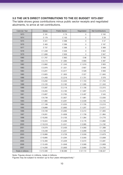### **3.5 THE UK'S DIRECT CONTRIBUTIONS TO THE EC BUDGET 1973-2007**

The table shows gross contributions minus public sector receipts and negotiated abutments, to arrive at net contributions.

| Calendar Year      | Gross     | <b>Public Sector</b> | Negotiated  | Net Contributions |
|--------------------|-----------|----------------------|-------------|-------------------|
| 1973               | £181      | £79                  | 0           | £102              |
| 1974               | £ 179     | £150                 | $\mathbf 0$ | £ 29              |
| 1975               | £ 341     | £398                 | 0           | £ 57              |
| 1976               | £463      | £ 296                | 0           | £167              |
| 1977               | £737      | £ 368                | 0           | £ 369             |
| 1978               | £1,348    | £526                 | 0           | £822              |
| 1979               | £1,606    | £ 659                | 0           | £947              |
| 1980               | £1,767    | £963                 | £98         | £706              |
| 1981               | £ 2,174   | £1,084               | £ 693       | £397              |
| 1982               | £ 2,862   | £1,240               | £1,019      | £ 603             |
| 1983               | £ 2,976   | £1,521               | £807        | £648              |
| 1984               | £3,201    | £ 2,017              | £ 528       | £656              |
| 1985               | £3,925    | £1,853               | £ 227       | £1,845            |
| 1986               | £4,493    | £ 2,216              | £1,701      | £ 576             |
| 1987               | £5,202    | £ 2,345              | £1,153      | £1,704            |
| 1988               | £5,120    | £ 2,182              | £1,595      | £1,343            |
| 1989               | £5,587    | £ 2,116              | £1,156      | £2,315            |
| 1990               | £6,355    | £ 2,183              | £1,697      | £ 2,475           |
| 1991               | £5,807    | £ 2,765              | £ 2,497     | £ 545             |
| 1992               | £6,738    | £ 2,827              | £1,881      | £ 2,030           |
| 1993               | £7,985    | £3,291               | £ 2,539     | £ 2,155           |
| 1994               | £7,189    | £3,253               | £1,726      | £2,210            |
| 1995               | £8,889    | £3,665               | £1,207      | £4,017            |
| 1996               | £9,109    | £ 5,092              | £ 2,412     | £1,605            |
| 1997               | £8,261    | £4,658               | £1,739      | £1,864            |
| 1998               | £10,265   | £4,105               | £1,384      | £4,776            |
| 1999               | £10,524   | £ 3,466              | £3,176      | £3,882            |
| 2000               | £10,518   | £4,241               | £ 2,085     | £4,192            |
| 2001               | £9,379    | £ 3,430              | £4,560      | £1,389            |
| 2002               | £9,438    | £3,201               | £3,099      | £3,138            |
| 2003               | £10,966   | £ 3,728              | £3,559      | £3,679            |
| 2004               | £10,895   | £4,294               | £3,593      | £3,008            |
| 2005               | £12,483   | £ 5,329              | £3,572      | £3,581            |
| 2006               | £12,426   | £4,948               | £3,569      | £3,909            |
| 2007               | £14,200   | £ 5,600              | £3,900      | £4,700            |
| Totals in billions | £ 213.589 | £90.089              | £57.172     | £66.327           |

Note: Figures shown in millions, totals in billions.

Figures may be subject to revision up to four years retrospectively.<sup>5</sup>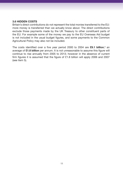### **3.6 HIDDEN COSTS**

Britain's direct contributions do not represent the total monies transferred to the EU: more money is transferred than we actually know about. The direct contributions exclude those payments made by the UK Treasury to other constituent parts of the EU. For example some of the money we pay to the EU Overseas Aid budget is not included in the usual budget figures, and some payments to the Common Agricultural Policy may also not be included.

The costs identified over a five year period 2000 to 2004 are **£9.1 billion**,<sup>6</sup> an average of **£1.8 billion** per annum. It is not unreasonable to assume this figure will continue to rise annually from 2005 to 2013; however in the absence of current firm figures it is assumed that the figure of £1.8 billion will apply 2006 and 2007 (see item 5).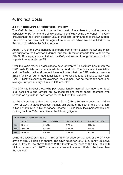### **4.** Indirect Costs

### **4.1 THE COMMON AGRICULTURAL POLICY**

The CAP is the most notorious indirect cost of membership, and represents subsidies to EU farmers, the single biggest beneficiary being the French. The CAP ensures that the French get back 98% of their total contributions to the EU budget. Britain does not claw back the agricultural subsidies which we are entitled to, as this would invalidate the British rebate.

About 19% of the UK's agricultural imports come from outside the EU and these are subject to the Common External Tariff (an EU tax on imports from outside the EU). So Britain pays twice, first into the CAP, and second through taxes on its food imports from outside the EU.

Over the years various organisations have attempted to estimate how much the CAP costs British consumers in additional food bills. The Consumer Association and the Trade Justice Movement have estimated that the CAP costs an average British family of four an additional **£20** on their weekly food bill (£1,000 per year). CAFOD (Catholic Agency for Overseas Development) has estimated the cost to an average European family of four at **£16** a week.7

The CAP hits hardest those who pay proportionally more of their income on food (e.g. pensioners and families on low incomes) and those poorer countries who depend on agricultural cash crops for the bulk of their exports.

Ian Milne8 estimates that the net cost of the CAP to Britain is between 1.2% to 1.7% of GDP.<sup>9</sup> In 2003 Professor Patrick Minford puts the cost of the CAP at £15 billion per annum, or 1.5% of national income.10 Using Ian Milne's percentages, and looking back to 2004, we arrive at the following figures.

| UK GDP <sup>11</sup> and estimated cost of CAP |                                                                          |            |          |          |  |  |  |
|------------------------------------------------|--------------------------------------------------------------------------|------------|----------|----------|--|--|--|
|                                                | UK GDP<br>CAP at 1.2% of GDP<br>CAP at 1.5% of GDP<br>CAP at 1.7% of GDP |            |          |          |  |  |  |
| 2004                                           | £1.184 bn                                                                | $£14.2$ bn | £17.7 bn | £20.1 bn |  |  |  |
| 2005                                           | £1.234 bn                                                                | £14.8 bn   | £18.5 bn | $£21$ bn |  |  |  |
| 2006                                           | £1.299 bn                                                                | £15.6 bn   | £19.5 bn | $£22$ bn |  |  |  |

Using the lowest estimate of 1.2% of GDP for 2006 as the cost of the CAP we arrive at £15.6 billion per annum. The GDP figure for 2007 is currently unknown and is likely to rise above that of 2006; therefore the cost of the CAP at **£15.6 billion** per annum for 2007 is a conservative estimate and likely to be lower than the real cost.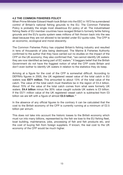### **4.2 THE COMMON FISHERIES POLICY**

When Prime Minister Edward Heath took Britain into the EEC in 1973 he surrendered control of Britain's national fishing grounds to the EU. The Common Fisheries Policy is probably the single most disastrous EU policy of all. The industrialised fishing fleets of EU member countries have ravaged Britain's formerly fertile fishing grounds and the EU's quota system sees millions of fish thrown back into the sea dead because they are not allowed to be landed under EU quota rules. The CFP is an economic, ecological and moral obscenity.

The Common Fisheries Policy has crippled Britain's fishing industry and resulted in tens of thousands of jobs being destroyed. The Marine & Fisheries Authority confirmed to the author that they have carried out no studies on the impact of the CFP on the UK economy; they also confirmed that, "we cannot identify UK waters: they are now identified as being part of EC waters." It beggars belief that the British Government do not have the foggiest notion of what the CFP costs Britain and don't even bother to identify UK waters in relation to the statistics they do keep.

Arriving at a figure for the cost of the CFP is somewhat difficult. According to DEFRA's figures in 2005, the UK registered vessel value of the total catch in EU waters was **£571 million**. This amounted to about 13% of the total value of the catch. The value of the total catch must therefore be in the region of £4.4 billion. About 70% of the value of the total catch comes from what were formerly UK waters. **£4.4 billion** minus the 30% value caught outside UK waters is £3 billion. If the £571 million value of the UK registered vessel catch is subtracted from £3 billion we are left with a figure of almost **£2.5 billion**. 12

In the absence of any official figures to the contrary it can be calculated that the cost to the British economy of the CFP is currently running at a minimum of £2.5 billion per annum.

This does not take into account the historic losses to the British economy which must run into many billions, represented by the fish we lose to the EU fishing fleet, boat building, maintenance, jobs, processing of fish and fish products etc, and the cost of buying fish from foreign suppliers. If known, the real cost to the UK economy of the CFP would be much higher.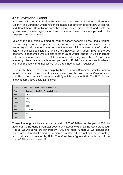### **4.3 EU OVER-REGULATION**

It is now estimated that 80% of Britain's new laws now originate in the European Union.13 The European Union has an insatiable appetite for passing new Directives and Regulations. Compliance with these laws has a direct effect and costs on government, private organisations and business; these costs are passed on to taxpayers and consumers.

Much of this regulation is aimed at 'harmonisation' concerning the Single Market. Theoretically, in order to permit the free movement of goods and services, it is necessary for all member states to have the same minimum standards of product safety, technical specifications and so on; however only about 10% of the UK economy is concerned with exports to other EU countries, about 10% is concerned with international trade, and 80% is concerned purely with the UK domestic economy. Nevertheless one hundred per cent of British businesses are burdened with compliance with unnecessary (and often incompetent) regulation.

The British Chamber of Commerce publishes a 'Burdens Barometer' which attempts to set out some of the costs of over-regulation, and is based on the Government's own Regulatory Impact Assessments (RIA) which began in 1999. The BCC figures show accumulative costs as follows:

| <b>British Chamber of Commerce Burdens Barometer</b> |                                              |  |  |  |  |
|------------------------------------------------------|----------------------------------------------|--|--|--|--|
| Year                                                 | <b>Cumulative Cost Per Annum in Billions</b> |  |  |  |  |
| 2001                                                 | £10 b n                                      |  |  |  |  |
| 2002                                                 | $£15$ bn                                     |  |  |  |  |
| 2003                                                 | £20.6 bn                                     |  |  |  |  |
| 2004                                                 | £30 bn                                       |  |  |  |  |
| 2005                                                 | £38.9 bn                                     |  |  |  |  |
| 2006                                                 | £50.27 bn                                    |  |  |  |  |
| 2007                                                 | £55.66 bn                                    |  |  |  |  |

These figures give a total cumulative cost of **£55.66 billion** for the period 2001 to 2007 but the Burdens Barometer covers only about 70% of all the RIA's produced. Not all EU Directives are covered by RIAs, and more numerous EU Regulations, which are automatically binding in member states without national parliamentary approval, are not covered by RIAs. Therefore these figures show only part of the cost of EU over-regulation.<sup>14</sup>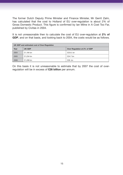The former Dutch Deputy Prime Minister and Finance Minister, Mr Gerrit Zalm, has calculated that the cost to Holland of EU over-regulation is about 2% of Gross Domestic Product. This figure is confirmed by Ian Milne in A Cost Too Far, published by Civitas in 2004.

It is not unreasonable then to calculate the cost of EU over-regulation at **2% of GDP**, and on that basis, and looking back to 2004, the costs would be as follows.

| UK GDP and estimated cost of Over-Regulation |                                        |            |  |  |  |
|----------------------------------------------|----------------------------------------|------------|--|--|--|
| Year                                         | UK GDP<br>Over Regulation at 2% of GDP |            |  |  |  |
| 2004                                         | £1.184 bn                              | £23.6. bn  |  |  |  |
| 2005                                         | £1.234 bn                              | $£24.7$ bn |  |  |  |
| 2006                                         | £1.299 bn                              | $£26.$ bn  |  |  |  |

On this basis it is not unreasonable to estimate that by 2007 the cost of overregulation will be in excess of **£26 billion** per annum.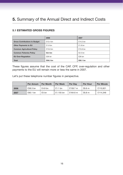### **5.** Summary of the Annual Direct and Indirect Costs

### **5.1 ESTIMATED GROSS FIGURES**

|                                      | 2006       | 2007       |
|--------------------------------------|------------|------------|
| <b>Gross Contributions to Budget</b> | $£12.4$ bn | $£14.2$ bn |
| Other Payments to EU                 | $£1.8$ bn  | $£1.8$ bn  |
| <b>Common Agricultural Policy</b>    | £15.6 bn   | £15.6 bn   |
| <b>Common Fisheries Policy</b>       | $£2.5$ bn  | $£2.5$ bn  |
| <b>EU Over-Regulation</b>            | $£26$ bn   | $£26$ bn   |
| <b>Total</b>                         | £58.3 bn   | £60.1 bn   |

These figures assume that the cost of the CAP, CFP, over-regulation and other payments to the EU will remain more or less the same in 2007.

Let's put these telephone number figures in perspective.

|      | <b>Per Annum</b> | <b>Per Month</b> | <b>Per Week</b> | <b>Per Dav</b> | <b>Per Hour</b> | <b>Per Minute</b> |
|------|------------------|------------------|-----------------|----------------|-----------------|-------------------|
| 2006 | £58.3 bn         | $£4.8$ bn        | $£1.1$ bn       | £159.7 m       | £6.6 m          | £110.921          |
| 2007 | £60.1 bn         | £5 bn            | £1.155 bn       | £164.6 m       | £6.8 m          | £114.346          |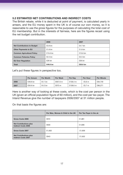### **5.2 ESTIMATED NET CONTRIBUTIONS AND INDIRECT COSTS**

The British rebate, while it is deducted at point of payment, is calculated yearly in arrears, and the EU money spent in the UK is of course our own money, so it is reasonable to use the gross figures for the purposes of calculating the total cost of EU membership. But in the interests of fairness, here are the figures recast using the net budget contribution.

|                                    | 2006      | 2007      |
|------------------------------------|-----------|-----------|
| <b>Net Contributions to Budget</b> | $£3.9$ bn | $£4.7$ bn |
| Other Payments to EU               | $£1.8$ bn | $£1.8$ bn |
| <b>Common Agricultural Policy</b>  | £15.6 bn  | £15.6 bn  |
| <b>Common Fisheries Policy</b>     | $£2.5$ bn | $£2.5$ bn |
| <b>EU Over Regulation</b>          | $£26$ bn  | $£26$ bn  |
| <b>Total</b>                       | £49.8 bn  | £50.6 bn  |

Let's put these figures in perspective too.

|      | Per Annum  | <b>Per Month</b> | <b>Per Week</b> | Per Dav  | <b>Per Hour</b> | <b>Per Minute</b> |
|------|------------|------------------|-----------------|----------|-----------------|-------------------|
| 2006 | $£49.8$ bn | $£4.1$ bn        | £957.6 m        | £136.4 m | £5.6 m          | £94.749           |
| 2007 | £50.6 bn   | $£4.2$ bn        | £973 m          | £138.6 m | £5.7 m          | £96,271           |

Here is another way of looking at these costs, which is the cost per person in the UK (given an official population figure of 60 million), and the cost per tax-payer. The Inland Revenue give the number of taxpayers 2006/2007 at 31 million people.

On that basis the figures are:

|                                                             | Per Man, Woman & Child in the UK | Per Tax Payer in the uk |
|-------------------------------------------------------------|----------------------------------|-------------------------|
| Gross Costs 2006                                            | £972                             | £1,881                  |
| <b>Net Contributions plus</b><br><b>Indirect Costs 2006</b> | £830                             | £1,606                  |
| Gross Costs 2007                                            | £1,002                           | £1,939                  |
| <b>Net Contributions plus</b><br><b>Indirect Costs 2007</b> | £843                             | £1,632                  |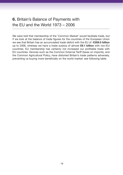### **6.** Britain's Balance of Payments with the EU and the World 1973 – 2006

We were told that membership of the 'Common Market' would facilitate trade, but if we look at the balance of trade figures for the countries of the European Union we see that Britain has an accumulated trade deficit with the EU of **-£359.5 billion**  up to 2006, whereas we have a trade surplus of almost **£9.1 billion** with non-EU countries. EU membership has certainly not increased our profitable trade with EU countries. Devices such as the Common External Tariff (taxes on imports), and the Common Agricultural Policy, have distorted Britain's trade patterns adversely, preventing us buying more beneficially on the world market: see following table.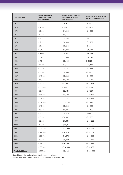| <b>Calendar Year</b>      | <b>Balance with EU</b><br><b>Countries Trade</b><br>and Services | Balance with non Eu<br><b>Countries in Trade</b><br>and Services | <b>Balance with the World</b><br>in Trade and Services |
|---------------------------|------------------------------------------------------------------|------------------------------------------------------------------|--------------------------------------------------------|
| 1973                      | $-E 1,674$                                                       | £ 678                                                            | $-E$ 996                                               |
| 1974                      | $-E2,592$                                                        | $-E 590$                                                         | $-E3,182$                                              |
| 1975                      | $-E2,831$                                                        | £1,308                                                           | $-E 1,523$                                             |
| 1976                      | $-E2,536$                                                        | £1,764                                                           | $-E$ 772                                               |
| 1977                      | $-E2,215$                                                        | £ 2,268                                                          | £ 53                                                   |
| 1978                      | $-E2,920$                                                        | £4,043                                                           | £1,123                                                 |
| 1979                      | $-E2,995$                                                        | £ 2,542                                                          | $-E453$                                                |
| 1980                      | £815                                                             | £ 2,028                                                          | £2,843                                                 |
| 1981                      | £1,694                                                           | £ 5,054                                                          | £6,748                                                 |
| 1982                      | £813                                                             | £3,836                                                           | £4,649                                                 |
| 1983                      | £41                                                              | £ 3,488                                                          | £ 3,529                                                |
| 1984                      | $-E 1,029$                                                       | £ 2,511                                                          | £1,482                                                 |
| 1985                      | $-E 1,496$                                                       | £ 3,734                                                          | £ 2,238                                                |
| 1986                      | $-E8,832$                                                        | £7,968                                                           | $-E864$                                                |
| 1987                      | $-E$ 12,889                                                      | £ 8,086                                                          | $-E4,803$                                              |
| 1988                      | $-E$ 18,175                                                      | £1,700                                                           | $-E$ 16,475                                            |
| 1989                      | $-E 20,811$                                                      | -£ 1,587                                                         | -£ 22,398                                              |
| 1990                      | $-E$ 18,393                                                      | $-E353$                                                          | $-E$ 18,746                                            |
| 1991                      | $-E 5,793$                                                       | $-E2,161$                                                        | $-E$ 7,954                                             |
| 1992                      | $-E$ 11,823                                                      | £1,690                                                           | $-E$ 10,133                                            |
| 1993                      | $-E$ 13,207                                                      | £ 2,451                                                          | $-E$ 10,756                                            |
| 1994                      | $-E$ 12,523                                                      | £10,104                                                          | $-E2,419$                                              |
| 1995                      | $-E$ 12,500                                                      | £9,608                                                           | $-E2,892$                                              |
| 1996                      | $-E 5,485$                                                       | £1,296                                                           | $-E4,189$                                              |
| 1997                      | $-E4,845$                                                        | £ 5,349                                                          | £504                                                   |
| 1998                      | $-E 5,923$                                                       | $-E2,032$                                                        | $-E7,955$                                              |
| 1999                      | $-E8,928$                                                        | $-E 6,301$                                                       | $-E$ 15,229                                            |
| 2000                      | $-E$ 7,299                                                       | $-E$ 11,951                                                      | $-E$ 19,250                                            |
| 2001                      | $-E$ 14,379                                                      | $-E$ 12,566                                                      | $-E$ 26,945                                            |
| 2002                      | $-E$ 24,936                                                      | $-E 6,615$                                                       | $-E$ 31,551                                            |
| 2003                      | $-E$ 29,708                                                      | $-E 1,274$                                                       | -£ 30,982                                              |
| 2004                      | -£ 30,697                                                        | -£ 3,778                                                         | $-E$ 34,475                                            |
| 2005                      | -£ 37,413                                                        | $-E$ 6,765                                                       | $-E44,178$                                             |
| 2006                      | $-E$ 38,039                                                      | $-E$ 16,398                                                      | -£ 54,437                                              |
| <b>Totals in billions</b> | -£ 359.523                                                       | £9.135                                                           | -£ 350.388                                             |

Note: Figures shown in millions, totals shown in billions.<br>Figures may be subject to revision up to four years retrospectively.<sup>15</sup>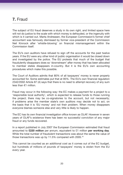### **7.** Fraud

The subject of EU fraud deserves a study in its own right, and limited space here will not do justice to the scale with which money is defrauded, or the ingenuity with which is it carried out. Marta Andreasen, the European Commission's former chief accountant was famously dismissed by former vice-president of the Commission Neil Kinnock after 'whistle-blowing' on financial mismanagement within the Commission itself.

The EU's own auditors have refused to sign off the accounts for the past twelve years. If the EU were any other kind of public organisation it would be closed down and investigated by the police. The EU protests that much of the budget that fraudulently disappears does so 'downstream' after money that has been allocated to member states disappears in-country. But it is the EU's own accounting procedures which make this possible.

The Court of Auditors admits that 80% of all taxpayers' money is never properly accounted for. Some estimates put that at 95%. The EU's own financial regulation 2342/2002 Article 87 (4) says that there is no need to attempt recovery of any sum less than €1 million.

Fraud may occur in the following way: the EC makes a payment for a project to a 'responsible local authority', which is expected to release funds to those running the project; there may be co-signatories to the account, but not necessarily; if problems arise the member state's own auditors may decide not to act, on the basis that it is 'EU money' and not their problem. When money disappears everyone blames someone else and very little is likely to happen.

The EC has its own financial investigation office known as OLAF. However in seven years of OLAF's existence there has been no successful conviction of any major fraud or any funds recovered.

In a report published in July 2007 the European Commission estimated that fraud amounted to **£220 million** per annum, equivalent to £1 million **per working day**. While the total number of fraudulent transactions was about the same the value of those transactions was up by 11.5% compared with 2005.16

This cannot be counted as an additional cost as it comes out of the EC budget, but hundreds of millions of pounds of taxpayers' money is stolen from the EU every year.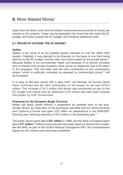Apart from the direct costs and the indirect costs enormous amounts of money are wasted on EU projects. These may be separated into those that fall inside the EC budget, and those outside the EC budget, and therefore additional costs.

### **8.1 PROJECTS OUTSIDE THE EC BUDGET**

#### **Galileo**

Galileo is the name of an EU satellite system intended to rival the USA's GPS system. Originally it was planned to be financed on the basis of one third being paid for by the EC budget, and the other two thirds funded by the private sector.<sup>17</sup> Because Galileo is not commercially viable, and because of an almost complete lack of interest from private investors, there will be an additional cost of €2 billion to EU taxpayers. This will mean that the UK's contribution to this unnecessary project, which is politically motivated as opposed to commercially driven,18 will be increased.

In a reply to Bernard Jenkin MP in May 2007, the Minister for Europe Geoff Hoon confirmed that the UK's contribution to the project so far was £276.3 million. This includes £134.3 million that Britain has contributed as part of the EC budget and means that an additional £142 million has been paid towards this project by H.M. Government.

### **Preparing for the European Single Currency**

Britain has spent untold millions in preparation for possible entry to the euro. Gordon Brown as Chancellor of the Exchequer admitted that the Inland Revenue and Customs & Excise had spent £20 million on preparations in the 2000/2001 financial year, following spending of £6.3 million in the preceding year.19

The public sector spent about **£27 million** in 1999, and the Bank of England spent about £17 million.<sup>20</sup> Millions more pounds have been spent by Government bodies, like the NHS, as part of the Outline National Changeover Plan. No comprehensive figures for the overall costs have been published.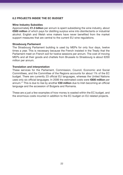### **8.2 PROJECTS INSIDE THE EC BUDGET**

#### **Wine Industry Subsidies**

Approximately **€1.3 billion** per annum is spent subsidising the wine industry, about **€500 million** of which pays for distilling surplus wine into disinfectants or industrial alcohol. English and Welsh wine makers have never benefited from the market support measures that are central to the current EU wine regulations.

#### **Strasbourg Parliament**

The Strasbourg Parliament building is used by MEPs for only four days, twelve times a year. This is necessary because the French insisted in the Treaty that the Parliament meet on French soil for twelve sessions per annum. The cost of moving MEPs and all their goods and chattels from Brussels to Strasbourg is about €200 million per annum.

#### **Translation and interpretation**

These services for the Parliament, Commission, Council, Economic and Social Committees, and the Committee of the Regions accounts for about 1% of the EC budget. There are currently 23 official EU languages, whereas the United Nations uses only six official languages. In 2006 the estimated costs were **€800 million** per annum.21 This is due to rise by another **€30 million** due to Irish becoming an official language and the accession of Bulgaria and Romania.

These are a just a few examples of how money is wasted within the EC budget, and the enormous costs incurred in addition to the EC budget on EU related projects.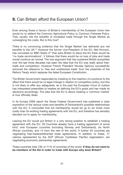### **9.** Can Britain afford the European Union?

Even among those in favour of Britain's membership of the European Union few would try to defend the Common Agricultural Policy or Common Fisheries Policy. They usually cite the benefits of increased trade through the Single Market as outweighing the costs. But is this true?

There is no convincing evidence that the Single Market has delivered any net benefits to the UK.<sup>22</sup> However the former vice-President of the EU, Neil Kinnock, has conceded on BBC Radio 423 that were Britain to leave the EU there would be "no trade recriminations", it follows that there would be no loss of jobs and trade would continue as normal. The one argument that has sustained British europhiles over the last three decades has been the idea that the EU was really about freetrade and competition. However French President Nicolas Sarkozy successfully removed the reference to 'free and undistorted trade' from the preamble of the Reform Treaty which replaces the failed European Constitution.

The British Government responded by insisting on the insertion of a protocol to the effect that there would be no legal change in relation to competition policy; but this is not likely to offer any safeguards, as in the past the European Court of Justice has interpreted preambles to treaties as defining the EU's goals and has made its decisions accordingly. The idea that the EU is about creating a 'common market' is now officially dead.

In its Europe 2006 report the Swiss Federal Government has published a clear exposition of the various costs and benefits of Switzerland's possible relationships with the EU. It concluded that full membership would be up to six times more costly than its existing trading agreements with the EU, and therefore has sensibly decided not to apply for membership.

Leaving the EU would put Britain in a very strong position to establish a trading agreement with the EU. 29 Countries already have a trading agreement of some kind: nine European countries (including Norway and Switzerland), six North African countries, and 14 from the rest of the world. A further 33 countries are negotiating free-trade/preferential trade agreements. In addition to these, 77 nations represented by the ACP (African Caribbean Pacific) organisation, are negotiating economic partnership agreements.

These countries total 139, or 71% of countries of the world. **If they do not need to be members of the EU in order to trade with Europe why does Britain?**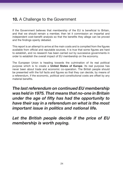### **10.** A Challenge to the Government

If the Government believes that membership of the EU is beneficial to Britain, and that we should remain a member, then let it commission an impartial and independent cost-benefit analysis so that the benefits they allege can be proved and the findings openly debated.

This report is an attempt to arrive at the main costs and is compiled from the figures available from official and reputable sources. It is true that some figures are hard to establish, and no research has been carried out by successive governments in order to establish the overall impact of EU membership on the economy.

The European Union is heading towards the culmination of its real political purpose which is to create a **United States of Europe**. Its real purpose has never been about trade and economic co-operation. The British people should be presented with the full facts and figures so that they can decide, by means of a referendum, if the economic, political and constitutional costs are offset by any material benefits.

*The last referendum on continued EU membership was held in 1975. That means that no-one in Britain under the age of fifty has had the opportunity to have their say in a referendum on what is the most important issue in politics and national life.* 

*Let the British people decide if the price of EU membership is worth paying.*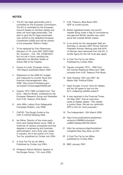#### **NOTES**

- 1 The EC has legal personality and is controlled by the European Commission. The EU is controlled by the European Council (heads of member states) and does not have legal personality. The plan to give the EU legal personality was central to the defeated European Constitution (2005) and will be central to the proposed 'Reform Treaty'.
- 2 To be replaced by Own Resources Decision of 7th June 2007 (2007/436/ EC, Euratom – OJL 163, 23/06/2007) but not yet in force, pending the ratification by Member States of Article 269 of the Treaties.
- 3 House of Lords' *European Union*, 12th Report published March 2007.
- 4 Statement on the 2006 EC budget and measures to counter fraud and financial mismanagement. May 2006. http://www.hmtreasury.gov. uk/media/7/5/ecbudget250506.pdf
- 5 Figures 1972-1996 compiled from 'The Euro – Bad for Britain' published by the European Research Group and thereafter from H.M. Treasury Pink Book.
- 6 John Mills, Labour Euro Safeguards Campaign Bulletin, July 2006.
- 7 CAFOD. The Rough Guide to the CAP. A CAFOD Briefing 2002.
- 8 Ian Milne, Director of the cross-party think-tank Global Britain since 1999. is chairman of various companies and has degrees in engineering and business administration, and a forty year career in industry. He is the author of A Cost Too Far, published by Civitas July 2004.
- 9 A Cost Too Far by Ian Milne. Published by Civitas July 2004.
- 10 Professor Patrick Minford. Speech to the Bruges Group, 11th June 2003.
- 11 H.M. Treasury, Blue Book 2007. GDP at current prices.
- 12 British registered boats may be EU vessels flying under a flag of convenience, and genuine British vessels may catch some fish outside British waters.
- 13 In an article for the newspaper Welt am Sonntag, in January 2007 former German President Roman Hertzog said that 84% of German laws stemmed from the EU. A similar figure for the UK must also apply.
- 14 A Cost Too Far by Ian Milne. Published by Civitas 2004.
- 15 Figures compiled 1973 1995 from the Central Statistical Office and 1996 onwards from H.M. Treasury Pink Book.
- 16 Daily Express 10th July 2007. By Macer Hall, Political Editor.
- 17 Open Europe, *Crunch Time for Galileo, will the UK agree to bail out the EU's collapsing satellite project?*
- 18 It was reported in the Financial Times. 4th May 2007, that an executive close to Galileo stated, *"The market is justnot there. We are too optimistic. GPS is fine for most purposes."*
- 19 The Independent, 10th March 2000
- 20 http://www.publications.parliament. uk/pa/cm199899/cmhansrd/ vo9907/debtext/90706-30htm
- 21 http://ec.europa.eu/dgs/translation/ navigation/faq-/faq\_facts\_en.htm
- 22 A Cost Too Far by Ian Milne, published by Civitas 2004.
- 23 BBC January 2001.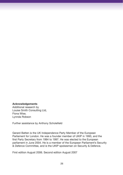#### **Acknowledgements**

Additional research by Louise Smith Consulting Ltd, Fiona Wise, Lynnda Robson

Further assistance by Anthony Scholefield

Gerard Batten is the UK Independence Party Member of the European Parliament for London. He was a founder member of UKIP in 1993, and the first Party Secretary from 1994 to 1997. He was elected to the European parliament in June 2004. He is a member of the European Parliament's Security & Defence Committee, and is the UKIP spokesman on Security & Defence.

First edition August 2006. Second edition August 2007